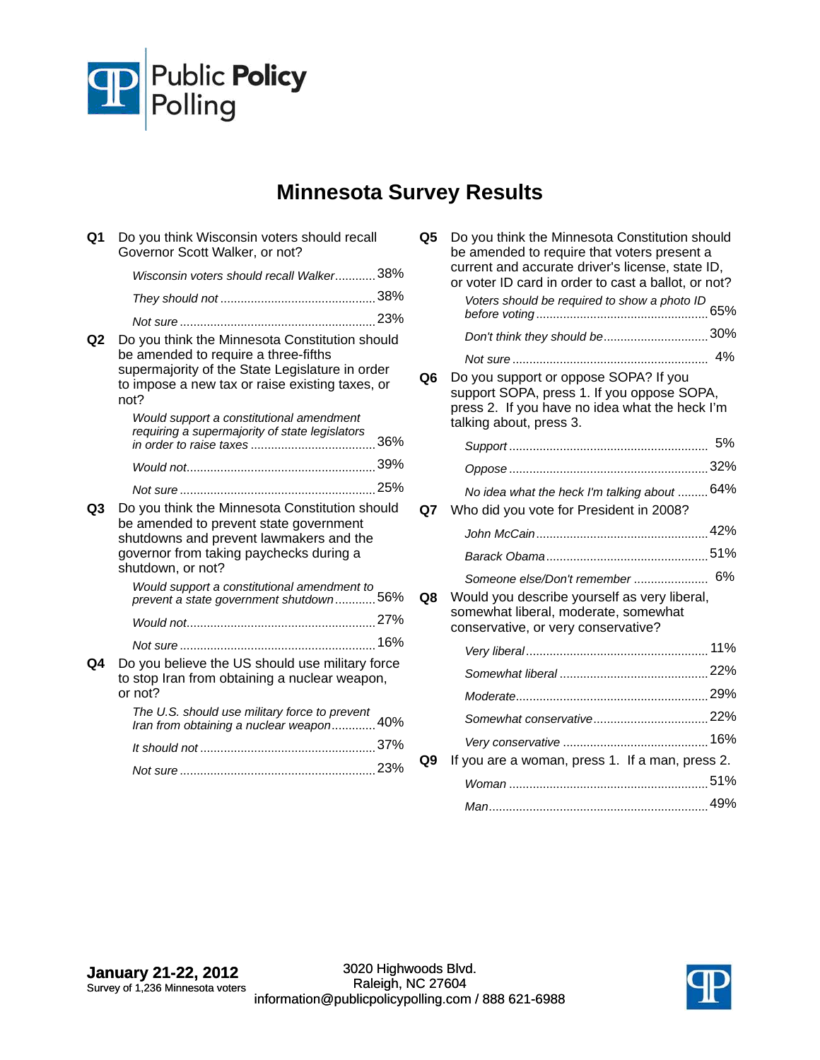

## **Minnesota Survey Results**

| Q1             | Do you think Wisconsin voters should recall<br>Governor Scott Walker, or not?                                                                                                                        |              |
|----------------|------------------------------------------------------------------------------------------------------------------------------------------------------------------------------------------------------|--------------|
|                | Wisconsin voters should recall Walker 38%                                                                                                                                                            |              |
|                |                                                                                                                                                                                                      |              |
|                |                                                                                                                                                                                                      |              |
| Q <sub>2</sub> | Do you think the Minnesota Constitution should<br>be amended to require a three-fifths<br>supermajority of the State Legislature in order<br>to impose a new tax or raise existing taxes, or<br>not? |              |
|                | Would support a constitutional amendment<br>requiring a supermajority of state legislators                                                                                                           |              |
|                |                                                                                                                                                                                                      |              |
|                |                                                                                                                                                                                                      | $\ldots$ 25% |
| Q3             | Do you think the Minnesota Constitution should<br>be amended to prevent state government<br>shutdowns and prevent lawmakers and the<br>governor from taking paychecks during a<br>shutdown, or not?  |              |
|                | Would support a constitutional amendment to<br>prevent a state government shutdown56%                                                                                                                |              |
|                |                                                                                                                                                                                                      |              |
|                |                                                                                                                                                                                                      |              |
| Q4             | Do you believe the US should use military force<br>to stop Iran from obtaining a nuclear weapon,<br>or not?                                                                                          |              |
|                | The U.S. should use military force to prevent<br>Iran from obtaining a nuclear weapon 40%                                                                                                            |              |
|                |                                                                                                                                                                                                      |              |
|                |                                                                                                                                                                                                      |              |

| Q5 | Do you think the Minnesota Constitution should<br>be amended to require that voters present a<br>current and accurate driver's license, state ID,<br>or voter ID card in order to cast a ballot, or not?<br>Voters should be required to show a photo ID |    |
|----|----------------------------------------------------------------------------------------------------------------------------------------------------------------------------------------------------------------------------------------------------------|----|
|    | Don't think they should be30%                                                                                                                                                                                                                            |    |
|    |                                                                                                                                                                                                                                                          | 4% |
| Q6 | Do you support or oppose SOPA? If you<br>support SOPA, press 1. If you oppose SOPA,<br>press 2. If you have no idea what the heck I'm<br>talking about, press 3.                                                                                         |    |
|    |                                                                                                                                                                                                                                                          | 5% |
|    |                                                                                                                                                                                                                                                          |    |
| Q7 | No idea what the heck I'm talking about  64%<br>Who did you vote for President in 2008?                                                                                                                                                                  |    |
|    |                                                                                                                                                                                                                                                          |    |
|    |                                                                                                                                                                                                                                                          |    |
|    | Someone else/Don't remember  6%                                                                                                                                                                                                                          |    |
| Q8 | Would you describe yourself as very liberal,<br>somewhat liberal, moderate, somewhat<br>conservative, or very conservative?                                                                                                                              |    |
|    |                                                                                                                                                                                                                                                          |    |
|    |                                                                                                                                                                                                                                                          |    |
|    |                                                                                                                                                                                                                                                          |    |
|    |                                                                                                                                                                                                                                                          |    |
|    |                                                                                                                                                                                                                                                          |    |
|    |                                                                                                                                                                                                                                                          |    |
| Q9 | If you are a woman, press 1. If a man, press 2.                                                                                                                                                                                                          |    |
|    |                                                                                                                                                                                                                                                          |    |

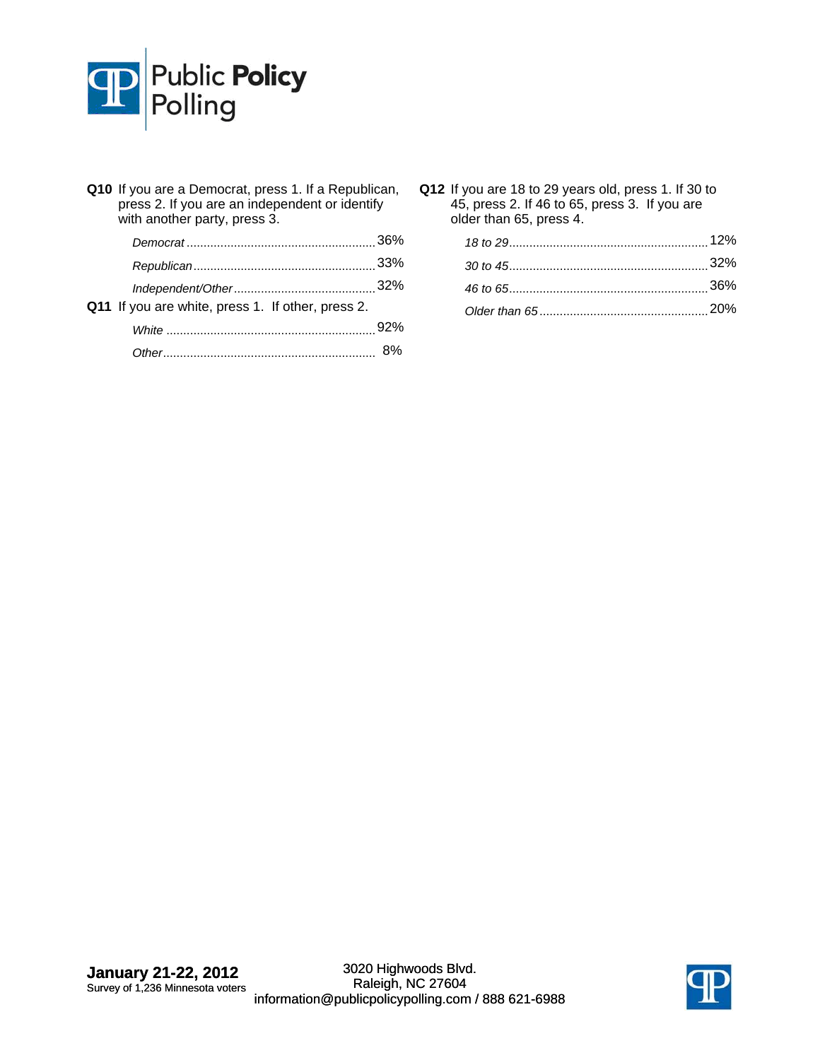

| Q10 If you are a Democrat, press 1. If a Republican,<br>press 2. If you are an independent or identify<br>with another party, press 3. |  |
|----------------------------------------------------------------------------------------------------------------------------------------|--|
|                                                                                                                                        |  |
|                                                                                                                                        |  |
|                                                                                                                                        |  |
| Q11 If you are white, press 1. If other, press 2.                                                                                      |  |
|                                                                                                                                        |  |
|                                                                                                                                        |  |

**Q12** If you are 18 to 29 years old, press 1. If 30 to 45, press 2. If 46 to 65, press 3. If you are older than 65, press 4.

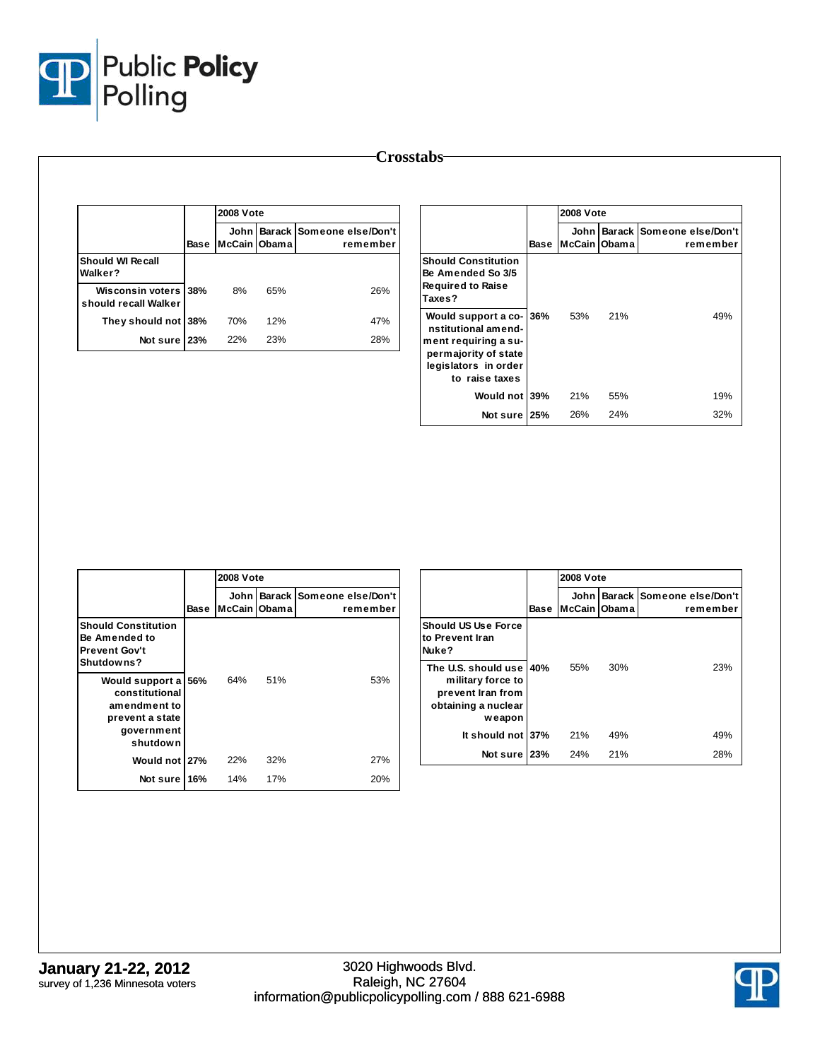

|                                              |      | <b>2008 Vote</b>       |     |                                       |  |
|----------------------------------------------|------|------------------------|-----|---------------------------------------|--|
|                                              | Base | John l<br>McCain Obama |     | Barack Someone else/Don't<br>remember |  |
| Should WI Recall<br>Walker?                  |      |                        |     |                                       |  |
| Wisconsin voters 38%<br>should recall Walker |      | 8%                     | 65% | 26%                                   |  |
| They should not 38%                          |      | 70%                    | 12% | 47%                                   |  |
| Not sure 23%                                 |      | 22%                    | 23% | 28%                                   |  |

|                                                                                                                                          |      | <b>2008 Vote</b> |       |                                       |
|------------------------------------------------------------------------------------------------------------------------------------------|------|------------------|-------|---------------------------------------|
|                                                                                                                                          | Base | John<br>McCain I | Obama | Barack Someone else/Don't<br>remember |
| <b>Should Constitution</b><br>Be Amended So 3/5<br><b>Required to Raise</b><br>Taxes?                                                    |      |                  |       |                                       |
| Would support a co- 36%<br>nstitutional amend-<br>ment requiring a su-<br>permajority of state<br>legislators in order<br>to raise taxes |      | 53%              | 21%   | 49%                                   |
| Would not 39%                                                                                                                            |      | 21%              | 55%   | 19%                                   |
| Notsure l                                                                                                                                | 25%  | 26%              | 24%   | 32%                                   |

|                                                                                                |      | <b>2008 Vote</b>     |     |                                         |  |
|------------------------------------------------------------------------------------------------|------|----------------------|-----|-----------------------------------------|--|
|                                                                                                | Base | John<br>McCain Obama |     | Barack   Someone else/Don't<br>remember |  |
| <b>Should Constitution</b><br>Be Amended to<br><b>Prevent Gov't</b><br>Shutdowns?              |      |                      |     |                                         |  |
| Would support a<br>constitutional<br>amendment to<br>prevent a state<br>government<br>shutdown | 56%  | 64%                  | 51% | 53%                                     |  |
| Would not 27%                                                                                  |      | 22%                  | 32% | 27%                                     |  |
| Notsure                                                                                        | 16%  | 14%                  | 17% | 20%                                     |  |

|                                                                                                  |      |                      | <b>2008 Vote</b> |                                       |  |  |
|--------------------------------------------------------------------------------------------------|------|----------------------|------------------|---------------------------------------|--|--|
|                                                                                                  | Base | John<br>McCain Obama |                  | Barack Someone else/Don't<br>remember |  |  |
| <b>Should US Use Force</b><br>to Prevent Iran<br>Nuke?                                           |      |                      |                  |                                       |  |  |
| The U.S. should use I<br>military force to<br>prevent Iran from<br>obtaining a nuclear<br>weapon | 40%  | 55%                  | 30%              | 23%                                   |  |  |
| It should not 37%                                                                                |      | 21%                  | 49%              | 49%                                   |  |  |
| Not sure 23%                                                                                     |      | 24%                  | 21%              | 28%                                   |  |  |

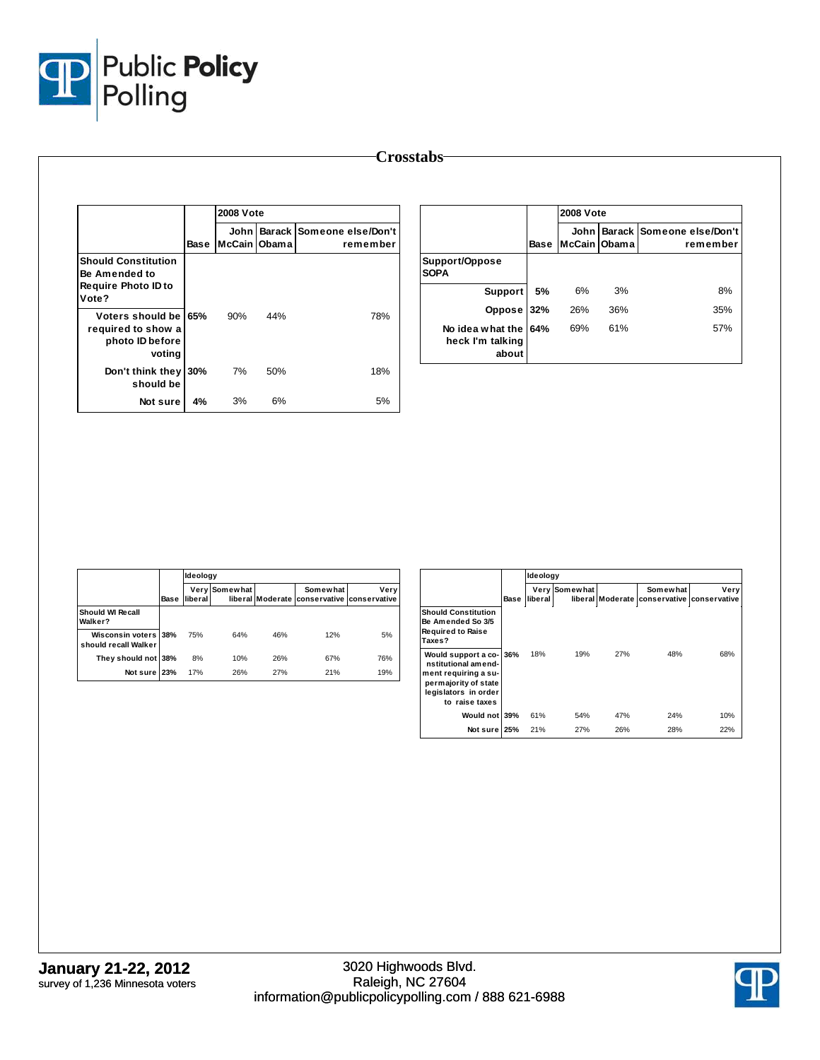

|                                                                                    |      | <b>2008 Vote</b>       |     |                                       |
|------------------------------------------------------------------------------------|------|------------------------|-----|---------------------------------------|
|                                                                                    | Base | John l<br>McCain Obama |     | Barack Someone else/Don't<br>remember |
| <b>Should Constitution</b><br>Be Amended to<br><b>Require Photo ID to</b><br>Vote? |      |                        |     |                                       |
| Voters should be<br>required to show a<br>photo ID before<br>voting                | 65%  | 90%                    | 44% | 78%                                   |
| Don't think they<br>should be                                                      | 30%  | 7%                     | 50% | 18%                                   |
| Not sure                                                                           | 4%   | 3%                     | 6%  | 5%                                    |

|                                               |             | <b>2008 Vote</b>     |     |                                       |  |
|-----------------------------------------------|-------------|----------------------|-----|---------------------------------------|--|
|                                               | <b>Base</b> | John<br>McCain Obama |     | Barack Someone else/Don't<br>remember |  |
| Support/Oppose<br><b>SOPA</b>                 |             |                      |     |                                       |  |
| <b>Support</b>                                | 5%          | 6%                   | 3%  | 8%                                    |  |
| Oppose                                        | 32%         | 26%                  | 36% | 35%                                   |  |
| No idea what the<br>heck I'm talking<br>about | 64%         | 69%                  | 61% | 57%                                   |  |

|                                              |      |                | Ideology      |                  |                                       |      |  |
|----------------------------------------------|------|----------------|---------------|------------------|---------------------------------------|------|--|
|                                              | Base | <b>liberal</b> | Very Somewhat | liberal Moderate | Somewhat<br>conservative conservative | Verv |  |
| <b>Should WI Recall</b><br>Walker?           |      |                |               |                  |                                       |      |  |
| Wisconsin voters 38%<br>should recall Walker |      | 75%            | 64%           | 46%              | 12%                                   | 5%   |  |
| They should not 38%                          |      | 8%             | 10%           | 26%              | 67%                                   | 76%  |  |
| Not sure 23%                                 |      | 17%            | 26%           | 27%              | 21%                                   | 19%  |  |

|                                                                                                                                          |      | Ideology        |                 |     |                                                        |      |
|------------------------------------------------------------------------------------------------------------------------------------------|------|-----------------|-----------------|-----|--------------------------------------------------------|------|
|                                                                                                                                          | Base | Very<br>liberal | <b>Somewhat</b> |     | Somewhat<br>liberal Moderate conservative conservative | Verv |
| <b>Should Constitution</b><br>Be Amended So 3/5<br><b>Required to Raise</b><br>Taxes?                                                    |      |                 |                 |     |                                                        |      |
| Would support a co- 36%<br>nstitutional amend-<br>ment requiring a su-<br>permajority of state<br>legislators in order<br>to raise taxes |      | 18%             | 19%             | 27% | 48%                                                    | 68%  |
| Would not 39%                                                                                                                            |      | 61%             | 54%             | 47% | 24%                                                    | 10%  |
| Not sure                                                                                                                                 | 25%  | 21%             | 27%             | 26% | 28%                                                    | 22%  |

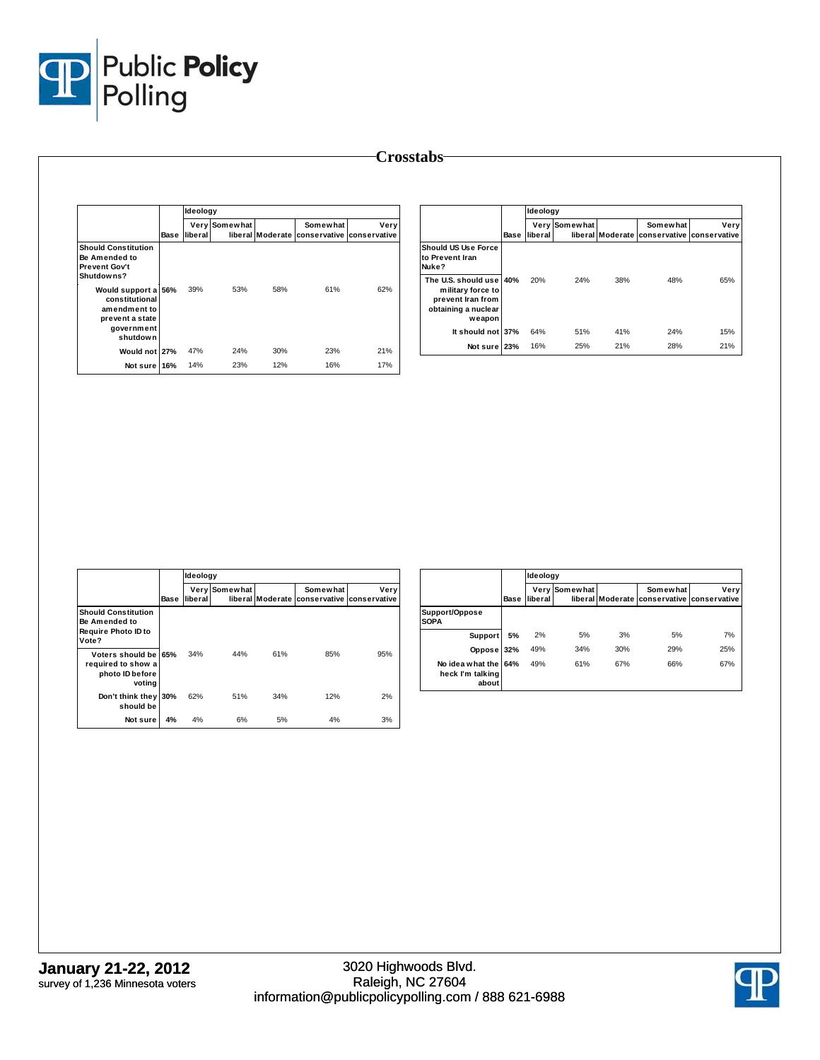

|                                                                                                    |      | Ideology |               |     |                                                               |      |
|----------------------------------------------------------------------------------------------------|------|----------|---------------|-----|---------------------------------------------------------------|------|
|                                                                                                    | Base | liberal  | Very Somewhat |     | <b>Somewhat</b><br>liberal Moderate conservative conservative | Very |
| <b>Should Constitution</b><br>Be Amended to<br><b>Prevent Gov't</b><br>Shutdowns?                  |      |          |               |     |                                                               |      |
| Would support a 56%<br>constitutional<br>amendment to<br>prevent a state<br>government<br>shutdown |      | 39%      | 53%           | 58% | 61%                                                           | 62%  |
| Would not 27%                                                                                      |      | 47%      | 24%           | 30% | 23%                                                           | 21%  |
| Not sure 16%                                                                                       |      | 14%      | 23%           | 12% | 16%                                                           | 17%  |

|                                                                                                    |      | Ideology        |                 |     |                                                        |      |  |  |
|----------------------------------------------------------------------------------------------------|------|-----------------|-----------------|-----|--------------------------------------------------------|------|--|--|
|                                                                                                    | Base | Very<br>liberal | <b>Somewhat</b> |     | Somewhat<br>liberal Moderate conservative conservative | Very |  |  |
| Should US Use Force<br>to Prevent Iran<br>Nuke?                                                    |      |                 |                 |     |                                                        |      |  |  |
| The U.S. should use 40%<br>military force to<br>prevent Iran from<br>obtaining a nuclear<br>weapon |      | 20%             | 24%             | 38% | 48%                                                    | 65%  |  |  |
| It should not 37%                                                                                  |      | 64%             | 51%             | 41% | 24%                                                    | 15%  |  |  |
| Not sure 23%                                                                                       |      | 16%             | 25%             | 21% | 28%                                                    | 21%  |  |  |

|                                                                                    |      |         | <b>Ideology</b> |     |                                                        |      |  |  |  |  |
|------------------------------------------------------------------------------------|------|---------|-----------------|-----|--------------------------------------------------------|------|--|--|--|--|
|                                                                                    | Base | liberal | Very Somewhat   |     | Somewhat<br>liberal Moderate conservative conservative | Very |  |  |  |  |
| <b>Should Constitution</b><br>Be Amended to<br><b>Require Photo ID to</b><br>Vote? |      |         |                 |     |                                                        |      |  |  |  |  |
| Voters should be 65%<br>required to show a<br>photo ID before<br>voting            |      | 34%     | 44%             | 61% | 85%                                                    | 95%  |  |  |  |  |
| Don't think they<br>should be                                                      | 30%  | 62%     | 51%             | 34% | 12%                                                    | 2%   |  |  |  |  |
| Not sure                                                                           | 4%   | 4%      | 6%              | 5%  | 4%                                                     | 3%   |  |  |  |  |

|                                               |      | Ideology |               |     |                                                        |      |  |  |
|-----------------------------------------------|------|----------|---------------|-----|--------------------------------------------------------|------|--|--|
|                                               | Base | liberal  | Very Somewhat |     | Somewhat<br>liberal Moderate conservative conservative | Very |  |  |
| Support/Oppose<br><b>SOPA</b>                 |      |          |               |     |                                                        |      |  |  |
| <b>Support</b>                                | 5%   | 2%       | 5%            | 3%  | 5%                                                     | 7%   |  |  |
| Oppose                                        | 32%  | 49%      | 34%           | 30% | 29%                                                    | 25%  |  |  |
| No idea what the<br>heck I'm talking<br>about | 64%  | 49%      | 61%           | 67% | 66%                                                    | 67%  |  |  |

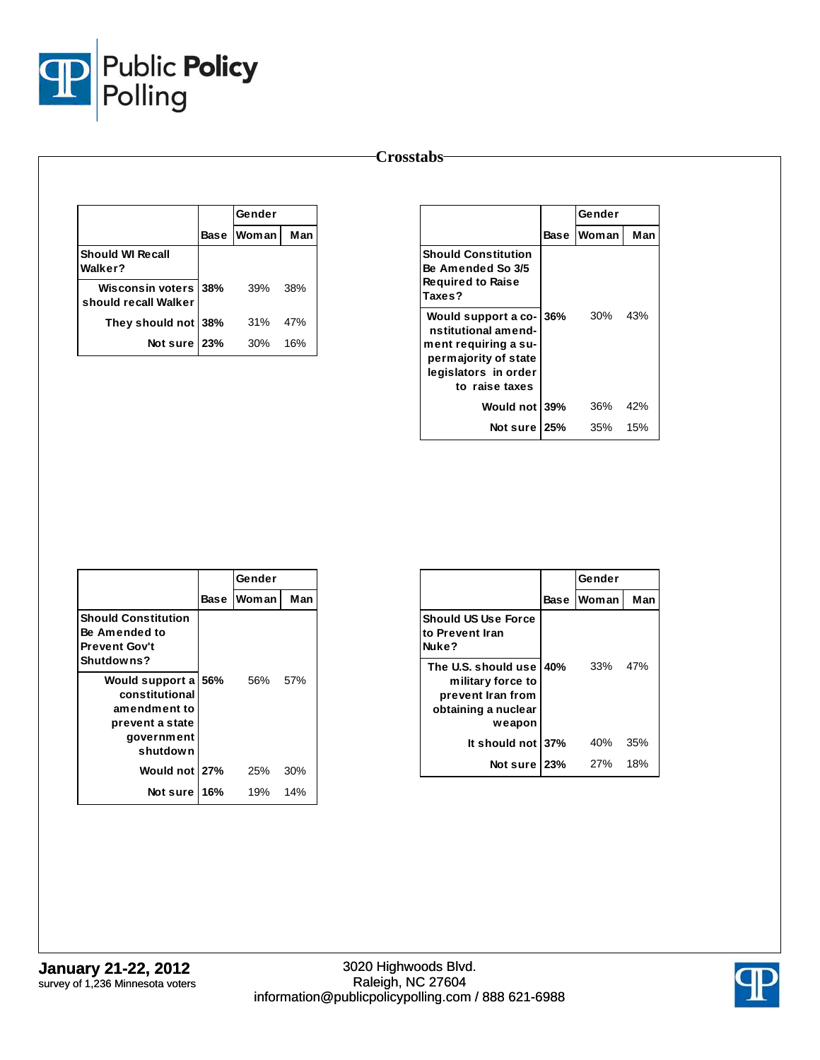

|                                              |             | Gender |     |
|----------------------------------------------|-------------|--------|-----|
|                                              | <b>Base</b> | Woman  | Man |
| <b>Should WI Recall</b><br>Walker?           |             |        |     |
| Wisconsin voters 38%<br>should recall Walker |             | 39%    | 38% |
| They should not 38%                          |             | 31%    | 47% |
| Not sure 23%                                 |             | 30%    | 16% |

|                                                                                                                                          |      | Gender |     |
|------------------------------------------------------------------------------------------------------------------------------------------|------|--------|-----|
|                                                                                                                                          | Base | Woman  | Man |
| <b>Should Constitution</b><br>Be Amended So 3/5<br><b>Required to Raise</b><br>Taxes?                                                    |      |        |     |
| Would support a co- 36%<br>nstitutional amend-<br>ment requiring a su-<br>permajority of state<br>legislators in order<br>to raise taxes |      | 30%    | 43% |
| Would not 39%                                                                                                                            |      | 36%    | 42% |
| Not sure 25%                                                                                                                             |      | 35%    | 15% |

|                                                                                                    |      | Gender       |     |
|----------------------------------------------------------------------------------------------------|------|--------------|-----|
|                                                                                                    | Base | <b>Woman</b> | Man |
| <b>Should Constitution</b><br>Be Amended to<br>Prevent Gov't<br>Shutdowns?                         |      |              |     |
| Would support a 56%<br>constitutional<br>amendment to<br>prevent a state<br>government<br>shutdown |      | 56% 57%      |     |
| Would not 27%                                                                                      |      | 25%          | 30% |
| Notsure 16%                                                                                        |      | 19%          | 14% |

|                                                                                                |             | Gender       |     |  |
|------------------------------------------------------------------------------------------------|-------------|--------------|-----|--|
|                                                                                                | <b>Base</b> | <b>Woman</b> | Man |  |
| <b>Should US Use Force</b><br>to Prevent Iran<br>Nuke?                                         |             |              |     |  |
| The U.S. should use<br>military force to<br>prevent Iran from<br>obtaining a nuclear<br>weapon | 40%         | 33%          | 47% |  |
| It should not 37%                                                                              |             | 40%          | 35% |  |
| Not sure                                                                                       | 23%         | 27%          | 18% |  |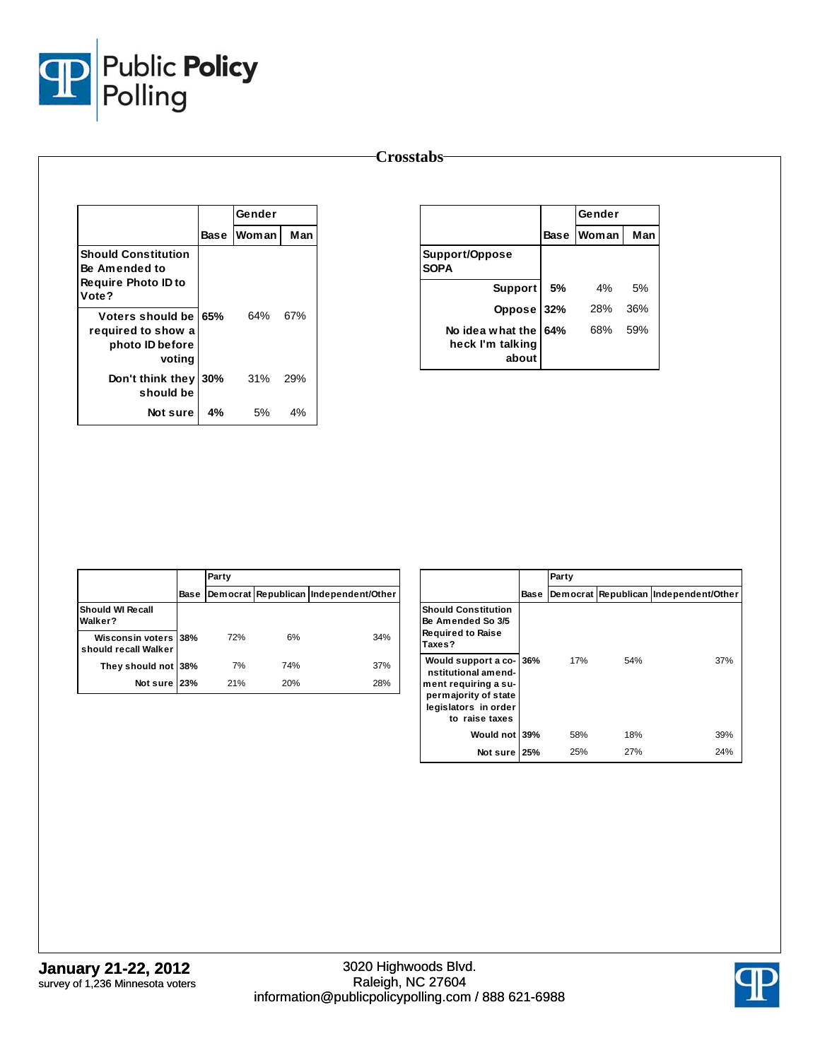

|                                                 |      |        |     | <b>Crosstabs</b>                              |             |        |     |
|-------------------------------------------------|------|--------|-----|-----------------------------------------------|-------------|--------|-----|
|                                                 |      | Gender |     |                                               |             | Gender |     |
|                                                 | Base | Woman  | Man |                                               | <b>Base</b> | Woman  | Man |
| <b>Should Constitution</b><br>Be Amended to     |      |        |     | Support/Oppose<br><b>SOPA</b>                 |             |        |     |
| <b>Require Photo ID to</b><br>Vote?             |      |        |     | <b>Support</b>                                | 5%          | 4%     | 5%  |
| Voters should be 65%                            |      | 64%    | 67% | Oppose                                        | 32%         | 28%    | 36% |
| required to show a<br>photo ID before<br>voting |      |        |     | No idea what the<br>heck I'm talking<br>about | 64%         | 68%    | 59% |
| Don't think they 30%<br>should be               |      | 31%    | 29% |                                               |             |        |     |
| Not sure                                        | 4%   | 5%     | 4%  |                                               |             |        |     |

|                                              |      | Party |     |                                       |  |  |  |
|----------------------------------------------|------|-------|-----|---------------------------------------|--|--|--|
|                                              | Base |       |     | Democrat Republican Independent/Other |  |  |  |
| Should WI Recall<br>Walker?                  |      |       |     |                                       |  |  |  |
| Wisconsin voters 38%<br>should recall Walker |      | 72%   | 6%  | 34%                                   |  |  |  |
| They should not 38%                          |      | 7%    | 74% | 37%                                   |  |  |  |
| Not sure 23%                                 |      | 21%   | 20% | 28%                                   |  |  |  |

|                                                                                                                                          |             | Party    |     |                              |
|------------------------------------------------------------------------------------------------------------------------------------------|-------------|----------|-----|------------------------------|
|                                                                                                                                          | <b>Base</b> | Democrat |     | Republican Independent/Other |
| <b>Should Constitution</b><br>Be Amended So 3/5<br><b>Required to Raise</b><br>lTaxes?                                                   |             |          |     |                              |
| Would support a co-136%<br>nstitutional amend-<br>ment requiring a su-<br>permajority of state<br>legislators in order<br>to raise taxes |             | 17%      | 54% | 37%                          |
| Would not 39%                                                                                                                            |             | 58%      | 18% | 39%                          |
| Notsure                                                                                                                                  | 25%         | 25%      | 27% | 24%                          |

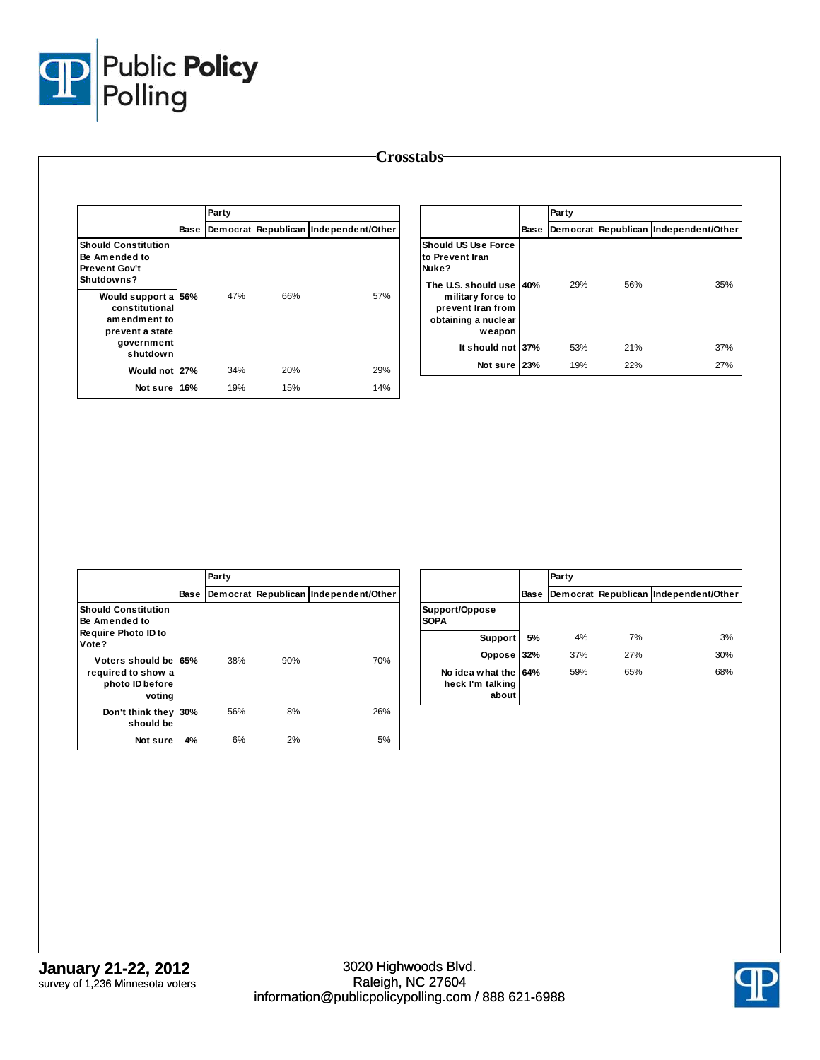

|                                                                            | Party |     |                                            |                                                                                                      |             | Party |     |                                       |
|----------------------------------------------------------------------------|-------|-----|--------------------------------------------|------------------------------------------------------------------------------------------------------|-------------|-------|-----|---------------------------------------|
|                                                                            |       |     | Base Democrat Republican Independent/Other |                                                                                                      | <b>Base</b> |       |     | Democrat Republican Independent/Other |
| <b>Should Constitution</b><br>Be Amended to<br>Prevent Gov't<br>Shutdowns? |       |     |                                            | Should US Use Force<br>lto Prevent Iran<br>Nuke?                                                     |             |       |     |                                       |
| Would support a 56%<br>constitutional<br>amendment to<br>prevent a state   | 47%   | 66% | 57%                                        | The U.S. should use   40%<br>military force to<br>prevent Iran from<br>obtaining a nuclear<br>weapon |             | 29%   | 56% | 35%                                   |
| government<br>shutdown                                                     |       |     |                                            | It should not 37%                                                                                    |             | 53%   | 21% | 37%                                   |
| Would not 27%                                                              | 34%   | 20% | 29%                                        | Not sure 23%                                                                                         |             | 19%   | 22% | 27%                                   |
| Not sure 16%                                                               | 19%   | 15% | 14%                                        |                                                                                                      |             |       |     |                                       |

| <b>Should US Use Force</b><br>lto Prevent Iran<br>Nuke?                                            |     |     |     |     |
|----------------------------------------------------------------------------------------------------|-----|-----|-----|-----|
| The U.S. should use 40%<br>military force to<br>prevent Iran from<br>obtaining a nuclear<br>weapon |     | 29% | 56% | 35% |
| It should not 37%                                                                                  |     | 53% | 21% | 37% |
| Not sure                                                                                           | 23% | 19% | 22% | 27% |
|                                                                                                    |     |     |     |     |

|                                                                                    |      | Party |     |                                       |  |  |  |  |  |
|------------------------------------------------------------------------------------|------|-------|-----|---------------------------------------|--|--|--|--|--|
|                                                                                    | Base |       |     | Democrat Republican Independent/Other |  |  |  |  |  |
| <b>Should Constitution</b><br>Be Amended to<br><b>Require Photo ID to</b><br>Vote? |      |       |     |                                       |  |  |  |  |  |
| Voters should be 65%<br>required to show a<br>photo ID before<br>voting            |      | 38%   | 90% | 70%                                   |  |  |  |  |  |
| Don't think they<br>should be                                                      | 30%  | 56%   | 8%  | 26%                                   |  |  |  |  |  |
| Not sure                                                                           | 4%   | 6%    | 2%  | 5%                                    |  |  |  |  |  |

|                                                   |      | Party |     |                                       |  |  |  |  |
|---------------------------------------------------|------|-------|-----|---------------------------------------|--|--|--|--|
|                                                   | Base |       |     | Democrat Republican Independent/Other |  |  |  |  |
| Support/Oppose<br><b>SOPA</b>                     |      |       |     |                                       |  |  |  |  |
| <b>Support</b>                                    | 5%   | 4%    | 7%  | 3%                                    |  |  |  |  |
| Oppose 32%                                        |      | 37%   | 27% | 30%                                   |  |  |  |  |
| No idea what the 64%<br>heck I'm talking<br>about |      | 59%   | 65% | 68%                                   |  |  |  |  |

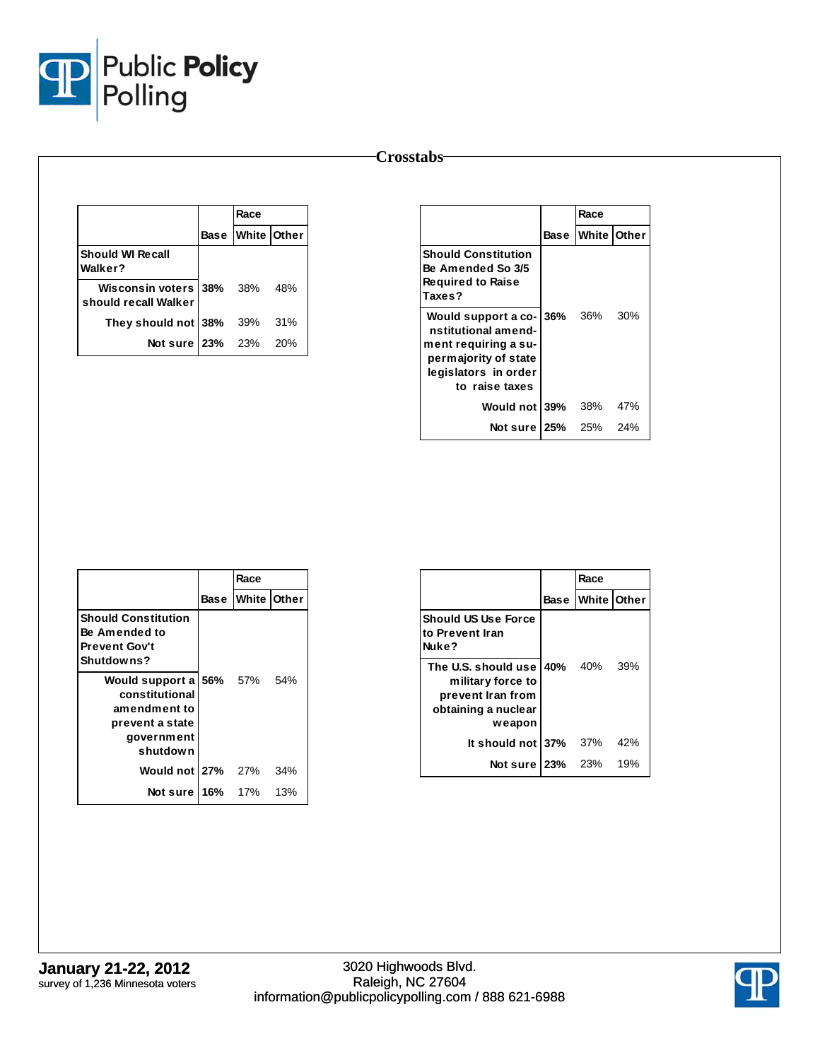

|                                                  | Race             |     |
|--------------------------------------------------|------------------|-----|
|                                                  | Base White Other |     |
| <b>Should WI Recall</b><br>Walker?               |                  |     |
| Wisconsin voters 38% 38%<br>should recall Walker |                  | 48% |
| They should not 38% 39% 31%                      |                  |     |
| Not sure $23\%$ 23%                              |                  | 20% |

|                                                                                                                                          |      | Race               |     |  |
|------------------------------------------------------------------------------------------------------------------------------------------|------|--------------------|-----|--|
|                                                                                                                                          | Base | <b>White Other</b> |     |  |
| <b>Should Constitution</b><br>Be Amended So 3/5<br><b>Required to Raise</b><br>Taxes?                                                    |      |                    |     |  |
| Would support a co- 36%<br>nstitutional amend-<br>ment requiring a su-<br>permajority of state<br>legislators in order<br>to raise taxes |      | 36%                | 30% |  |
| Would not 39%                                                                                                                            |      | 38%                | 47% |  |
| Notsure 25%                                                                                                                              |      | 25%                | 24% |  |

|                                                                                                            | Race                    |     |
|------------------------------------------------------------------------------------------------------------|-------------------------|-----|
|                                                                                                            | <b>Base White Other</b> |     |
| <b>Should Constitution</b><br>Be Amended to<br>Prevent Gov't<br><b>Shutdowns?</b>                          |                         |     |
| Would support a 56% 57% 54%<br>constitutional<br>amendment to<br>prevent a state<br>government<br>shutdown |                         |     |
| Would not 27% 27%                                                                                          |                         | 34% |
| Notsure 16% 17%                                                                                            |                         | 13% |

|                                                                                                |             | Race               |     |
|------------------------------------------------------------------------------------------------|-------------|--------------------|-----|
|                                                                                                | <b>Base</b> | <b>White Other</b> |     |
| <b>Should US Use Force</b><br>to Prevent Iran<br>Nuke?                                         |             |                    |     |
| The U.S. should use<br>military force to<br>prevent Iran from<br>obtaining a nuclear<br>weapon | 40% 40%     |                    | 39% |
| It should not 37%                                                                              |             | 37%                | 42% |
| Not sure 23%                                                                                   |             | 23%                | 19% |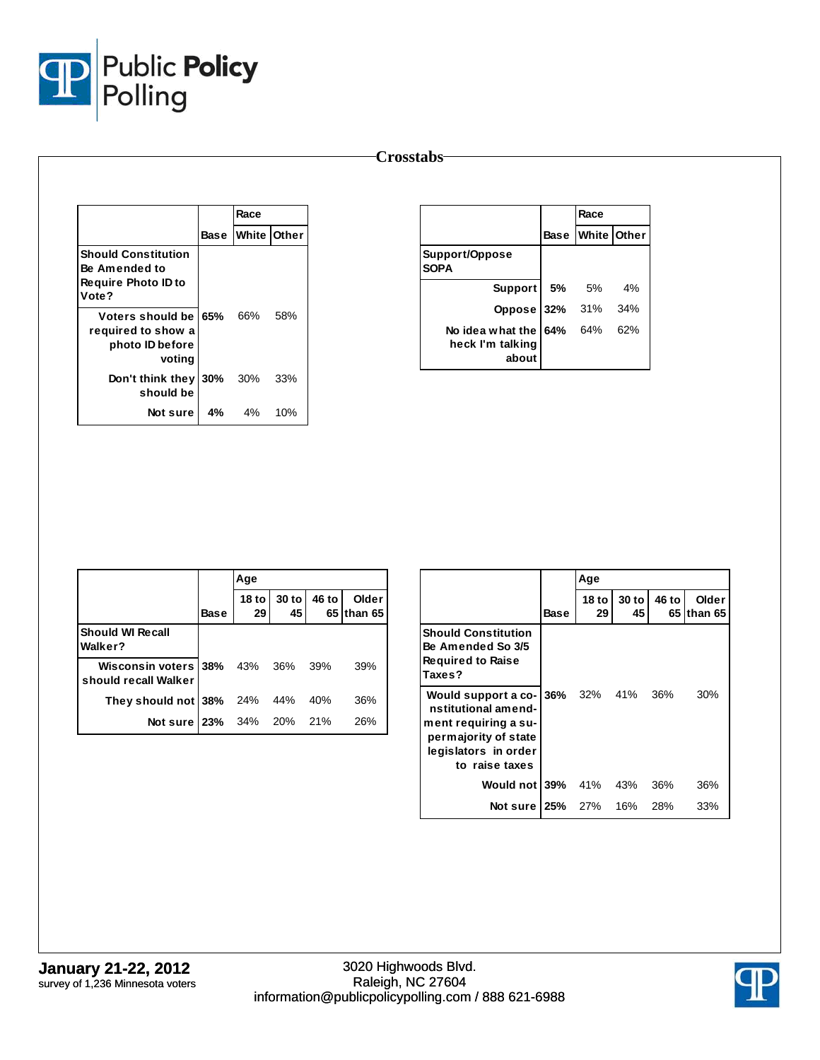

**Not sure**

|                                                 |             |                    |     | <b>Crosstabs</b>                                  |             |             |     |
|-------------------------------------------------|-------------|--------------------|-----|---------------------------------------------------|-------------|-------------|-----|
|                                                 |             | Race               |     |                                                   |             | Race        |     |
|                                                 | <b>Base</b> | <b>White Other</b> |     |                                                   | <b>Base</b> | White Other |     |
| <b>Should Constitution</b><br>Be Amended to     |             |                    |     | Support/Oppose<br><b>SOPA</b>                     |             |             |     |
| <b>Require Photo ID to</b><br>Vote?             |             |                    |     | <b>Support</b>                                    | 5%          | 5%          | 4%  |
| Voters should be 65%                            |             | 66%                | 58% | Oppose                                            | 32%         | 31%         | 34% |
| required to show a<br>photo ID before<br>voting |             |                    |     | No idea what the 64%<br>heck I'm talking<br>about |             | 64%         | 62% |
| Don't think they 30%<br>should be               |             | 30%                | 33% |                                                   |             |             |     |

|                                                  |             | Age             |             |             |                         |
|--------------------------------------------------|-------------|-----------------|-------------|-------------|-------------------------|
|                                                  | <b>Base</b> | 18 to $ $<br>29 | 30 to<br>45 | 46 to<br>65 | <b>Older</b><br>than 65 |
| <b>Should WI Recall</b><br>Walker?               |             |                 |             |             |                         |
| Wisconsin voters 38% 43%<br>should recall Walker |             |                 | -36%        | 39%         | 39%                     |
| They should not 38%                              |             | 24% 44%         |             | 40%         | 36%                     |
| <b>Not sure 23%</b> 34% 20%                      |             |                 |             | 21%         | 26%                     |

**4%** 4% 10%

|                                                                                                                                      |      | Age         |               |             |                  |
|--------------------------------------------------------------------------------------------------------------------------------------|------|-------------|---------------|-------------|------------------|
|                                                                                                                                      | Base | 18 to<br>29 | $30$ to<br>45 | 46 to<br>65 | Older<br>than 65 |
| <b>Should Constitution</b><br>Be Amended So 3/5<br><b>Required to Raise</b><br>Taxes?                                                |      |             |               |             |                  |
| Would support a co-<br>nstitutional amend-<br>ment requiring a su-<br>permajority of state<br>legislators in order<br>to raise taxes | 36%  | 32%         | 41%           | 36%         | 30%              |
| Would not                                                                                                                            | 39%  | 41%         | 43%           | 36%         | 36%              |
| Notsure                                                                                                                              | 25%  | 27%         | 16%           | 28%         | 33%              |